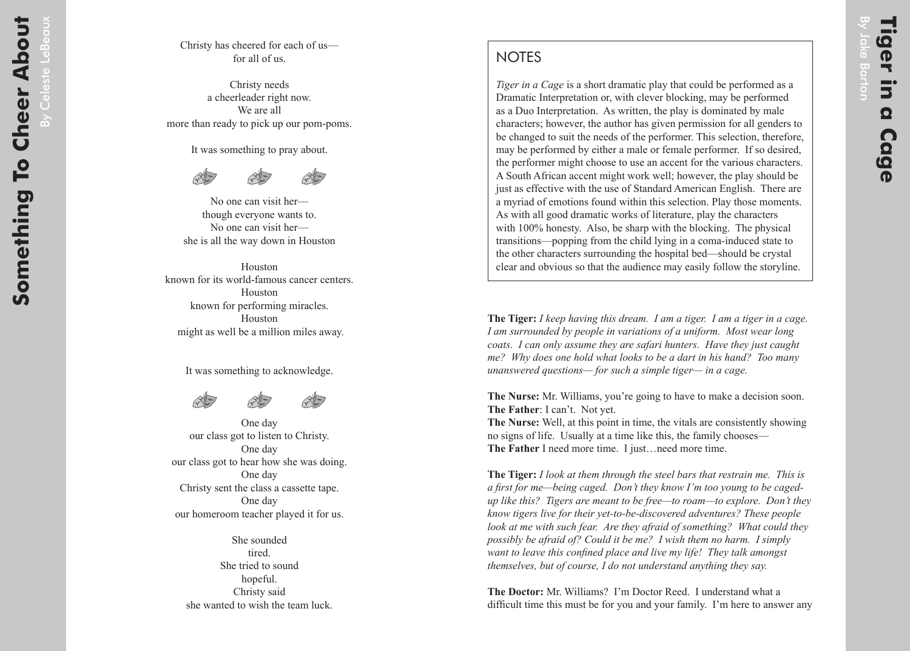## **NOTES**

*Tiger in a Cage* is a short dramatic play that could be performed as a Dramatic Interpretation or, with clever blocking, may be performed as a Duo Interpretation. As written, the play is dominated by male characters; however, the author has given permission for all genders to be changed to suit the needs of the performer. This selection, therefore, may be performed by either a male or female performer. If so desired, the performer might choose to use an accent for the various characters. A South African accent might work well; however, the play should be just as effective with the use of Standard American English. There are a myriad of emotions found within this selection. Play those moments. As with all good dramatic works of literature, play the characters with 100% honesty. Also, be sharp with the blocking. The physical transitions—popping from the child lying in a coma-induced state to the other characters surrounding the hospital bed—should be crystal clear and obvious so that the audience may easily follow the storyline.

**The Tiger:** *I keep having this dream. I am a tiger. I am a tiger in a cage. I am surrounded by people in variations of a uniform. Most wear long coats. I can only assume they are safari hunters. Have they just caught me? Why does one hold what looks to be a dart in his hand? Too many unanswered questions— for such a simple tiger— in a cage.*

**The Nurse:** Mr. Williams, you're going to have to make a decision soon. **The Father**: I can't. Not yet.

**The Nurse:** Well, at this point in time, the vitals are consistently showing no signs of life. Usually at a time like this, the family chooses— **The Father** I need more time. I just…need more time.

**The Tiger:** *I look at them through the steel bars that restrain me. This is a first for me—being caged. Don't they know I'm too young to be cagedup like this? Tigers are meant to be free—to roam—to explore. Don't they know tigers live for their yet-to-be-discovered adventures? These people look at me with such fear. Are they afraid of something? What could they possibly be afraid of? Could it be me? I wish them no harm. I simply want to leave this confined place and live my life! They talk amongst themselves, but of course, I do not understand anything they say.*

**The Doctor:** Mr. Williams? I'm Doctor Reed. I understand what a difficult time this must be for you and your family. I'm here to answer any